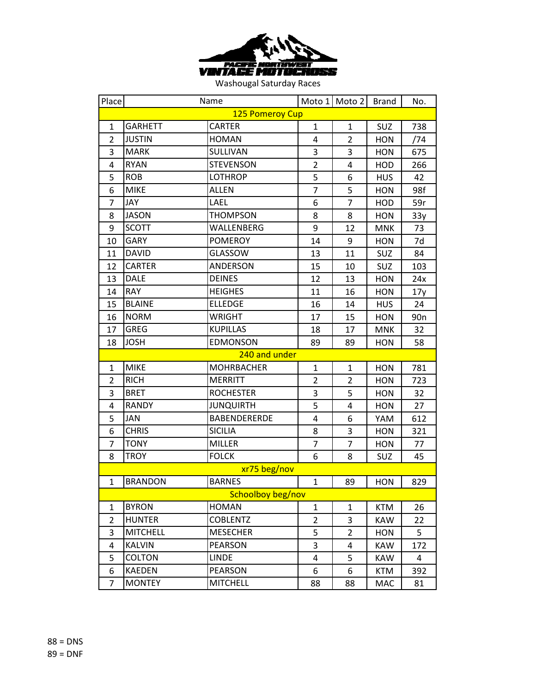

| Place          |                 | Name                |                | Moto 1 Moto 2  | <b>Brand</b> | No.             |  |
|----------------|-----------------|---------------------|----------------|----------------|--------------|-----------------|--|
|                | 125 Pomeroy Cup |                     |                |                |              |                 |  |
| 1              | <b>GARHETT</b>  | <b>CARTER</b>       | $\mathbf{1}$   | $\mathbf{1}$   | SUZ          | 738             |  |
| $\overline{2}$ | <b>JUSTIN</b>   | <b>HOMAN</b>        | 4              | $\overline{2}$ | <b>HON</b>   | /74             |  |
| 3              | <b>MARK</b>     | SULLIVAN            | 3              | 3              | HON          | 675             |  |
| 4              | <b>RYAN</b>     | <b>STEVENSON</b>    | $\overline{2}$ | 4              | HOD          | 266             |  |
| 5              | <b>ROB</b>      | <b>LOTHROP</b>      | 5              | 6              | <b>HUS</b>   | 42              |  |
| 6              | <b>MIKE</b>     | <b>ALLEN</b>        | $\overline{7}$ | 5              | <b>HON</b>   | 98f             |  |
| $\overline{7}$ | <b>JAY</b>      | LAEL                | 6              | $\overline{7}$ | HOD          | 59r             |  |
| 8              | <b>JASON</b>    | <b>THOMPSON</b>     | 8              | 8              | <b>HON</b>   | 33y             |  |
| 9              | <b>SCOTT</b>    | WALLENBERG          | 9              | 12             | <b>MNK</b>   | 73              |  |
| 10             | <b>GARY</b>     | <b>POMEROY</b>      | 14             | 9              | HON          | 7d              |  |
| 11             | <b>DAVID</b>    | <b>GLASSOW</b>      | 13             | 11             | SUZ          | 84              |  |
| 12             | <b>CARTER</b>   | ANDERSON            | 15             | 10             | SUZ          | 103             |  |
| 13             | <b>DALE</b>     | <b>DEINES</b>       | 12             | 13             | <b>HON</b>   | 24x             |  |
| 14             | <b>RAY</b>      | <b>HEIGHES</b>      | 11             | 16             | <b>HON</b>   | 17y             |  |
| 15             | <b>BLAINE</b>   | <b>ELLEDGE</b>      | 16             | 14             | <b>HUS</b>   | 24              |  |
| 16             | <b>NORM</b>     | <b>WRIGHT</b>       | 17             | 15             | <b>HON</b>   | 90 <sub>n</sub> |  |
| 17             | <b>GREG</b>     | <b>KUPILLAS</b>     | 18             | 17             | <b>MNK</b>   | 32              |  |
| 18             | <b>JOSH</b>     | <b>EDMONSON</b>     | 89             | 89             | <b>HON</b>   | 58              |  |
|                |                 | 240 and under       |                |                |              |                 |  |
| 1              | <b>MIKE</b>     | <b>MOHRBACHER</b>   | $\mathbf{1}$   | $\mathbf{1}$   | <b>HON</b>   | 781             |  |
| $\overline{2}$ | <b>RICH</b>     | <b>MERRITT</b>      | $\overline{2}$ | $\overline{2}$ | <b>HON</b>   | 723             |  |
| 3              | <b>BRET</b>     | <b>ROCHESTER</b>    | 3              | 5              | HON          | 32              |  |
| 4              | <b>RANDY</b>    | <b>JUNQUIRTH</b>    | 5              | 4              | <b>HON</b>   | 27              |  |
| 5              | <b>JAN</b>      | <b>BABENDERERDE</b> | 4              | 6              | YAM          | 612             |  |
| 6              | <b>CHRIS</b>    | <b>SICILIA</b>      | 8              | 3              | <b>HON</b>   | 321             |  |
| $\overline{7}$ | <b>TONY</b>     | <b>MILLER</b>       | $\overline{7}$ | $\overline{7}$ | <b>HON</b>   | 77              |  |
| 8              | <b>TROY</b>     | <b>FOLCK</b>        | 6              | 8              | SUZ          | 45              |  |
|                |                 | xr75 beg/nov        |                |                |              |                 |  |
| $\mathbf{1}$   | <b>BRANDON</b>  | <b>BARNES</b>       | $\mathbf{1}$   | 89             | <b>HON</b>   | 829             |  |
|                |                 | Schoolboy beg/nov   |                |                |              |                 |  |
| 1              | <b>BYRON</b>    | <b>HOMAN</b>        | $\mathbf{1}$   | $\mathbf{1}$   | <b>KTM</b>   | 26              |  |
| $\overline{2}$ | <b>HUNTER</b>   | <b>COBLENTZ</b>     | $\overline{2}$ | 3              | KAW          | 22              |  |
| 3              | <b>MITCHELL</b> | <b>MESECHER</b>     | 5              | $\overline{2}$ | <b>HON</b>   | 5               |  |
| 4              | <b>KALVIN</b>   | <b>PEARSON</b>      | 3              | 4              | <b>KAW</b>   | 172             |  |
| 5              | <b>COLTON</b>   | <b>LINDE</b>        | 4              | 5              | <b>KAW</b>   | 4               |  |
| 6              | <b>KAEDEN</b>   | <b>PEARSON</b>      | 6              | 6              | KTM          | 392             |  |
| 7              | <b>MONTEY</b>   | <b>MITCHELL</b>     | 88             | 88             | <b>MAC</b>   | 81              |  |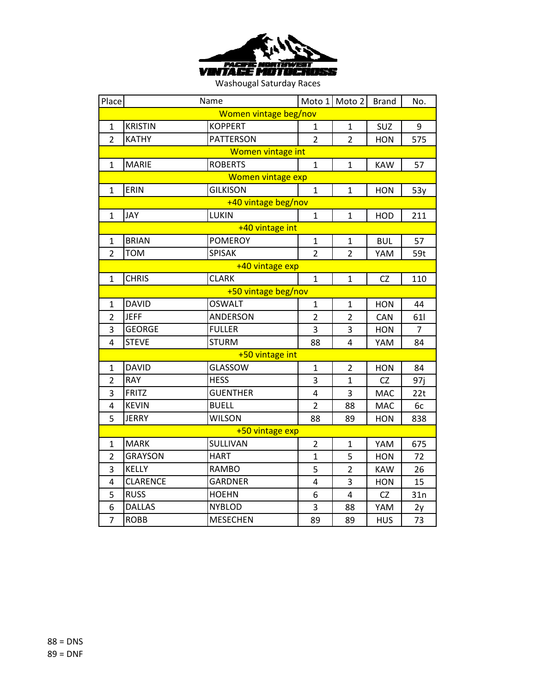

| Place                 |                 | Name                     |                | Moto 1 Moto 2           | <b>Brand</b> | No. |  |
|-----------------------|-----------------|--------------------------|----------------|-------------------------|--------------|-----|--|
| Women vintage beg/nov |                 |                          |                |                         |              |     |  |
| 1                     | <b>KRISTIN</b>  | <b>KOPPERT</b>           | $\mathbf{1}$   | $\mathbf{1}$            | SUZ          | 9   |  |
| $\overline{2}$        | <b>KATHY</b>    | <b>PATTERSON</b>         | $\overline{2}$ | $\overline{2}$          | <b>HON</b>   | 575 |  |
|                       |                 | <b>Women vintage int</b> |                |                         |              |     |  |
| 1                     | <b>MARIE</b>    | <b>ROBERTS</b>           | $\mathbf{1}$   | $\mathbf{1}$            | <b>KAW</b>   | 57  |  |
|                       |                 | <b>Women vintage exp</b> |                |                         |              |     |  |
| $\mathbf{1}$          | <b>ERIN</b>     | <b>GILKISON</b>          | $\mathbf{1}$   | $\mathbf{1}$            | <b>HON</b>   | 53y |  |
|                       |                 | +40 vintage beg/nov      |                |                         |              |     |  |
| 1                     | <b>JAY</b>      | LUKIN                    | $\mathbf{1}$   | $\mathbf{1}$            | HOD          | 211 |  |
|                       |                 | +40 vintage int          |                |                         |              |     |  |
| $\mathbf{1}$          | <b>BRIAN</b>    | <b>POMEROY</b>           | $\mathbf{1}$   | $\mathbf{1}$            | <b>BUL</b>   | 57  |  |
| $\overline{2}$        | <b>TOM</b>      | <b>SPISAK</b>            | $\overline{2}$ | $\overline{2}$          | YAM          | 59t |  |
|                       |                 | +40 vintage exp          |                |                         |              |     |  |
| $\mathbf{1}$          | <b>CHRIS</b>    | <b>CLARK</b>             | $\mathbf{1}$   | $\mathbf{1}$            | <b>CZ</b>    | 110 |  |
|                       |                 | +50 vintage beg/nov      |                |                         |              |     |  |
| $\mathbf{1}$          | <b>DAVID</b>    | <b>OSWALT</b>            | $\mathbf{1}$   | $\mathbf{1}$            | <b>HON</b>   | 44  |  |
| $\overline{2}$        | <b>JEFF</b>     | <b>ANDERSON</b>          | $\overline{2}$ | $\overline{2}$          | CAN          | 61  |  |
| 3                     | <b>GEORGE</b>   | <b>FULLER</b>            | 3              | 3                       | <b>HON</b>   | 7   |  |
| 4                     | <b>STEVE</b>    | <b>STURM</b>             | 88             | 4                       | YAM          | 84  |  |
|                       |                 | +50 vintage int          |                |                         |              |     |  |
| $\mathbf{1}$          | <b>DAVID</b>    | GLASSOW                  | $\mathbf{1}$   | $\overline{2}$          | <b>HON</b>   | 84  |  |
| $\overline{2}$        | <b>RAY</b>      | <b>HESS</b>              | 3              | $\mathbf{1}$            | CZ           | 97j |  |
| 3                     | <b>FRITZ</b>    | <b>GUENTHER</b>          | 4              | 3                       | MAC          | 22t |  |
| 4                     | <b>KEVIN</b>    | <b>BUELL</b>             | $\overline{2}$ | 88                      | <b>MAC</b>   | 6c  |  |
| 5                     | <b>JERRY</b>    | <b>WILSON</b>            | 88             | 89                      | <b>HON</b>   | 838 |  |
|                       |                 | +50 vintage exp          |                |                         |              |     |  |
| 1                     | <b>MARK</b>     | SULLIVAN                 | $\overline{2}$ | $\mathbf{1}$            | YAM          | 675 |  |
| $\overline{2}$        | <b>GRAYSON</b>  | <b>HART</b>              | $\mathbf{1}$   | 5                       | <b>HON</b>   | 72  |  |
| 3                     | <b>KELLY</b>    | <b>RAMBO</b>             | 5              | $\overline{2}$          | <b>KAW</b>   | 26  |  |
| 4                     | <b>CLARENCE</b> | <b>GARDNER</b>           | 4              | 3                       | <b>HON</b>   | 15  |  |
| 5                     | <b>RUSS</b>     | <b>HOEHN</b>             | 6              | $\overline{\mathbf{4}}$ | <b>CZ</b>    | 31n |  |
| 6                     | <b>DALLAS</b>   | <b>NYBLOD</b>            | 3              | 88                      | YAM          | 2y  |  |
| $\overline{7}$        | <b>ROBB</b>     | <b>MESECHEN</b>          | 89             | 89                      | <b>HUS</b>   | 73  |  |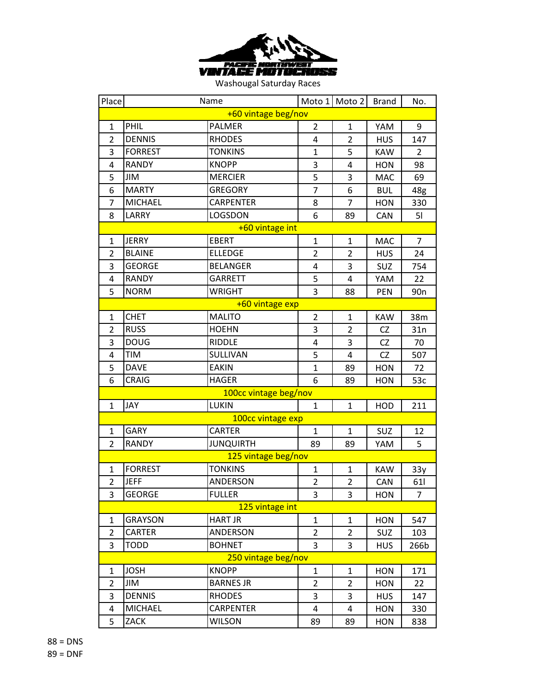

| Place               |                | Name                  |                | Moto 1 Moto 2  | <b>Brand</b> | No.             |
|---------------------|----------------|-----------------------|----------------|----------------|--------------|-----------------|
| +60 vintage beg/nov |                |                       |                |                |              |                 |
| 1                   | PHIL           | <b>PALMER</b>         | $\overline{2}$ | $\mathbf{1}$   | YAM          | 9               |
| $\overline{2}$      | <b>DENNIS</b>  | <b>RHODES</b>         | 4              | $\overline{2}$ | <b>HUS</b>   | 147             |
| 3                   | <b>FORREST</b> | <b>TONKINS</b>        | $\mathbf{1}$   | 5              | <b>KAW</b>   | $\overline{2}$  |
| 4                   | <b>RANDY</b>   | <b>KNOPP</b>          | 3              | $\overline{4}$ | <b>HON</b>   | 98              |
| 5                   | JIM            | <b>MERCIER</b>        | 5              | 3              | MAC          | 69              |
| 6                   | <b>MARTY</b>   | <b>GREGORY</b>        | 7              | 6              | <b>BUL</b>   | 48g             |
| $\overline{7}$      | <b>MICHAEL</b> | CARPENTER             | 8              | $\overline{7}$ | <b>HON</b>   | 330             |
| 8                   | LARRY          | LOGSDON               | 6              | 89             | <b>CAN</b>   | 51              |
|                     |                | +60 vintage int       |                |                |              |                 |
| $\mathbf{1}$        | <b>JERRY</b>   | <b>EBERT</b>          | $\mathbf{1}$   | $\mathbf{1}$   | <b>MAC</b>   | 7               |
| 2                   | <b>BLAINE</b>  | <b>ELLEDGE</b>        | $\overline{2}$ | $\overline{2}$ | <b>HUS</b>   | 24              |
| 3                   | <b>GEORGE</b>  | <b>BELANGER</b>       | 4              | 3              | SUZ          | 754             |
| 4                   | <b>RANDY</b>   | <b>GARRETT</b>        | 5              | 4              | YAM          | 22              |
| 5                   | <b>NORM</b>    | <b>WRIGHT</b>         | 3              | 88             | PEN          | 90 <sub>n</sub> |
|                     |                | +60 vintage exp       |                |                |              |                 |
| 1                   | <b>CHET</b>    | <b>MALITO</b>         | $\overline{2}$ | $\mathbf{1}$   | <b>KAW</b>   | 38m             |
| $\overline{2}$      | <b>RUSS</b>    | <b>HOEHN</b>          | 3              | $\overline{2}$ | CZ           | 31n             |
| 3                   | <b>DOUG</b>    | RIDDLE                | 4              | 3              | CZ           | 70              |
| 4                   | <b>TIM</b>     | SULLIVAN              | 5              | $\overline{4}$ | <b>CZ</b>    | 507             |
| 5                   | <b>DAVE</b>    | <b>EAKIN</b>          | $\mathbf{1}$   | 89             | <b>HON</b>   | 72              |
| 6                   | <b>CRAIG</b>   | <b>HAGER</b>          | 6              | 89             | <b>HON</b>   | 53c             |
|                     |                | 100cc vintage beg/nov |                |                |              |                 |
| 1                   | JAY            | <b>LUKIN</b>          | $\mathbf{1}$   | $\mathbf{1}$   | HOD          | 211             |
|                     |                | 100cc vintage exp     |                |                |              |                 |
| 1                   | <b>GARY</b>    | <b>CARTER</b>         | 1              | $\mathbf{1}$   | SUZ          | 12              |
| $\overline{2}$      | <b>RANDY</b>   | <b>JUNQUIRTH</b>      | 89             | 89             | YAM          | 5               |
|                     |                | 125 vintage beg/nov   |                |                |              |                 |
| 1                   | <b>FORREST</b> | <b>TONKINS</b>        | $\mathbf{1}$   | $\mathbf{1}$   | <b>KAW</b>   | 33y             |
| $\overline{2}$      | <b>JEFF</b>    | <b>ANDERSON</b>       | $\overline{2}$ | $\overline{2}$ | CAN          | 611             |
| 3                   | <b>GEORGE</b>  | <b>FULLER</b>         | 3              | 3              | <b>HON</b>   | 7               |
|                     |                | 125 vintage int       |                |                |              |                 |
| 1                   | <b>GRAYSON</b> | <b>HART JR</b>        | $\mathbf{1}$   | $\mathbf{1}$   | <b>HON</b>   | 547             |
| $\overline{2}$      | CARTER         | <b>ANDERSON</b>       | $\overline{2}$ | $\overline{2}$ | SUZ          | 103             |
| 3                   | <b>TODD</b>    | <b>BOHNET</b>         | 3              | 3              | <b>HUS</b>   | 266b            |
|                     |                | 250 vintage beg/nov   |                |                |              |                 |
| 1                   | <b>JOSH</b>    | <b>KNOPP</b>          | 1              | $\mathbf{1}$   | <b>HON</b>   | 171             |
| $\overline{2}$      | JIM            | <b>BARNES JR</b>      | $\overline{2}$ | $\overline{2}$ | <b>HON</b>   | 22              |
| 3                   | <b>DENNIS</b>  | <b>RHODES</b>         | 3              | 3              | <b>HUS</b>   | 147             |
| 4                   | <b>MICHAEL</b> | CARPENTER             | 4              | $\overline{a}$ | <b>HON</b>   | 330             |
| 5                   | ZACK           | <b>WILSON</b>         | 89             | 89             | <b>HON</b>   | 838             |

 = DNS = DNF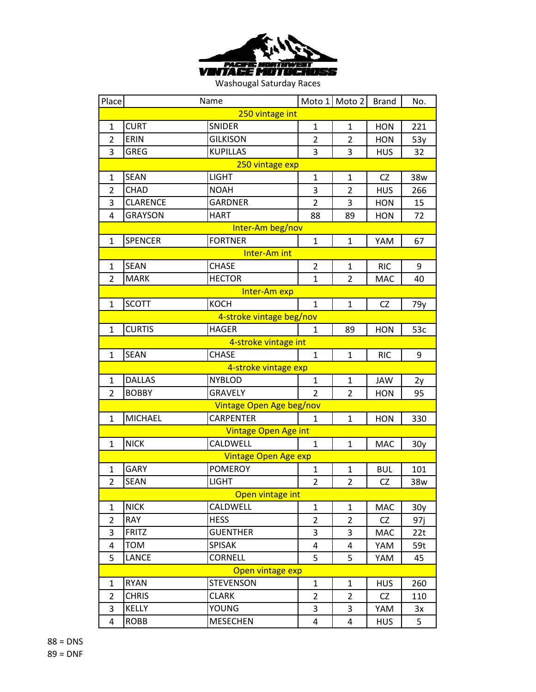

| Place           |                 | Name                        |                | Moto 1 Moto 2  | <b>Brand</b> | No. |  |
|-----------------|-----------------|-----------------------------|----------------|----------------|--------------|-----|--|
| 250 vintage int |                 |                             |                |                |              |     |  |
| 1               | <b>CURT</b>     | <b>SNIDER</b>               | 1              | 1              | <b>HON</b>   | 221 |  |
| $\overline{2}$  | ERIN            | <b>GILKISON</b>             | $\overline{2}$ | $\overline{2}$ | <b>HON</b>   | 53y |  |
| 3               | <b>GREG</b>     | <b>KUPILLAS</b>             | 3              | 3              | <b>HUS</b>   | 32  |  |
|                 |                 | 250 vintage exp             |                |                |              |     |  |
| 1               | <b>SEAN</b>     | <b>LIGHT</b>                | $\mathbf{1}$   | $\mathbf{1}$   | <b>CZ</b>    | 38w |  |
| $\overline{2}$  | <b>CHAD</b>     | <b>NOAH</b>                 | 3              | $\overline{2}$ | <b>HUS</b>   | 266 |  |
| 3               | <b>CLARENCE</b> | <b>GARDNER</b>              | $\overline{2}$ | 3              | <b>HON</b>   | 15  |  |
| 4               | <b>GRAYSON</b>  | HART                        | 88             | 89             | <b>HON</b>   | 72  |  |
|                 |                 | Inter-Am beg/nov            |                |                |              |     |  |
| 1               | <b>SPENCER</b>  | <b>FORTNER</b>              | $\mathbf{1}$   | $\mathbf{1}$   | YAM          | 67  |  |
|                 |                 | Inter-Am int                |                |                |              |     |  |
| 1               | <b>SEAN</b>     | <b>CHASE</b>                | $\overline{2}$ | $\mathbf{1}$   | <b>RIC</b>   | 9   |  |
| 2               | <b>MARK</b>     | <b>HECTOR</b>               | $\mathbf{1}$   | $\overline{2}$ | <b>MAC</b>   | 40  |  |
|                 |                 | Inter-Am exp                |                |                |              |     |  |
| 1               | <b>SCOTT</b>    | <b>KOCH</b>                 | $\mathbf{1}$   | $\mathbf{1}$   | <b>CZ</b>    | 79y |  |
|                 |                 | 4-stroke vintage beg/nov    |                |                |              |     |  |
| $\mathbf{1}$    | <b>CURTIS</b>   | <b>HAGER</b>                | 1              | 89             | <b>HON</b>   | 53c |  |
|                 |                 | 4-stroke vintage int        |                |                |              |     |  |
| 1               | <b>SEAN</b>     | <b>CHASE</b>                | $\mathbf{1}$   | $\mathbf{1}$   | <b>RIC</b>   | 9   |  |
|                 |                 | 4-stroke vintage exp        |                |                |              |     |  |
| $\mathbf{1}$    | <b>DALLAS</b>   | <b>NYBLOD</b>               | $\mathbf{1}$   | $\mathbf{1}$   | <b>JAW</b>   | 2y  |  |
| 2               | <b>BOBBY</b>    | <b>GRAVELY</b>              | 2              | $\overline{2}$ | <b>HON</b>   | 95  |  |
|                 |                 | Vintage Open Age beg/nov    |                |                |              |     |  |
| $\mathbf{1}$    | <b>MICHAEL</b>  | <b>CARPENTER</b>            | $\mathbf{1}$   | $\mathbf{1}$   | <b>HON</b>   | 330 |  |
|                 |                 | <b>Vintage Open Age int</b> |                |                |              |     |  |
| 1               | <b>NICK</b>     | CALDWELL                    | $\mathbf{1}$   | $\mathbf{1}$   | <b>MAC</b>   | 30y |  |
|                 |                 | <b>Vintage Open Age exp</b> |                |                |              |     |  |
| 1               | <b>GARY</b>     | <b>POMEROY</b>              | $\mathbf{1}$   | $\mathbf{1}$   | <b>BUL</b>   | 101 |  |
| $\overline{2}$  | <b>SEAN</b>     | <b>LIGHT</b>                | $\overline{2}$ | $\overline{2}$ | CZ           | 38w |  |
|                 |                 | Open vintage int            |                |                |              |     |  |
| $\mathbf{1}$    | <b>NICK</b>     | CALDWELL                    | $\mathbf{1}$   | $\mathbf{1}$   | <b>MAC</b>   | 30y |  |
| 2               | <b>RAY</b>      | <b>HESS</b>                 | $\overline{2}$ | $\overline{2}$ | CZ           | 97j |  |
| 3               | <b>FRITZ</b>    | <b>GUENTHER</b>             | 3              | 3              | <b>MAC</b>   | 22t |  |
| 4               | <b>TOM</b>      | <b>SPISAK</b>               | 4              | $\overline{a}$ | YAM          | 59t |  |
| 5               | <b>LANCE</b>    | <b>CORNELL</b>              | 5              | 5              | YAM          | 45  |  |
|                 |                 | Open vintage exp            |                |                |              |     |  |
| $\mathbf 1$     | <b>RYAN</b>     | <b>STEVENSON</b>            | $\mathbf{1}$   | $\mathbf{1}$   | <b>HUS</b>   | 260 |  |
| 2               | <b>CHRIS</b>    | <b>CLARK</b>                | $\overline{2}$ | $\overline{2}$ | CZ           | 110 |  |
| 3               | <b>KELLY</b>    | YOUNG                       | 3              | 3              | YAM          | 3x  |  |
| 4               | <b>ROBB</b>     | <b>MESECHEN</b>             | 4              | $\overline{a}$ | <b>HUS</b>   | 5   |  |

 = DNS = DNF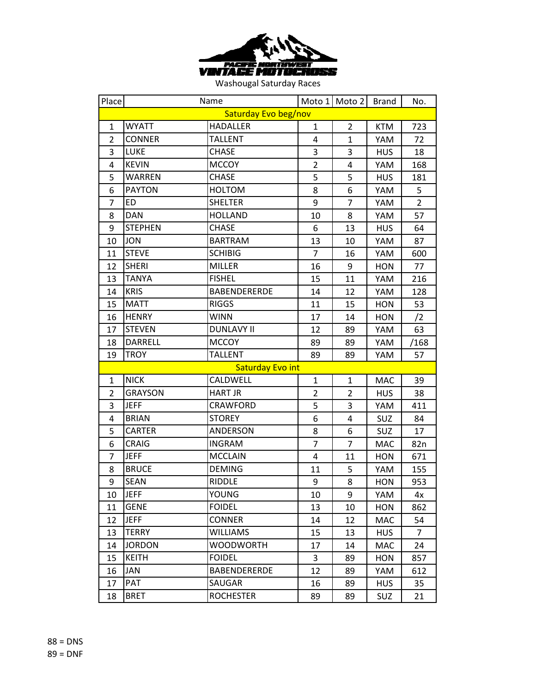

| Place          |                | Name                    |                | Moto 1 Moto 2  | <b>Brand</b> | No.            |
|----------------|----------------|-------------------------|----------------|----------------|--------------|----------------|
|                |                | Saturday Evo beg/nov    |                |                |              |                |
| 1              | <b>WYATT</b>   | <b>HADALLER</b>         | 1              | $\overline{2}$ | <b>KTM</b>   | 723            |
| $\overline{2}$ | <b>CONNER</b>  | <b>TALLENT</b>          | 4              | $\mathbf{1}$   | YAM          | 72             |
| 3              | <b>LUKE</b>    | CHASE                   | 3              | 3              | <b>HUS</b>   | 18             |
| 4              | <b>KEVIN</b>   | <b>MCCOY</b>            | $\overline{2}$ | 4              | YAM          | 168            |
| 5              | <b>WARREN</b>  | <b>CHASE</b>            | 5              | 5              | <b>HUS</b>   | 181            |
| 6              | <b>PAYTON</b>  | <b>HOLTOM</b>           | 8              | 6              | YAM          | 5              |
| $\overline{7}$ | <b>ED</b>      | <b>SHELTER</b>          | 9              | $\overline{7}$ | YAM          | $\overline{2}$ |
| 8              | <b>DAN</b>     | <b>HOLLAND</b>          | 10             | 8              | YAM          | 57             |
| 9              | <b>STEPHEN</b> | <b>CHASE</b>            | 6              | 13             | <b>HUS</b>   | 64             |
| 10             | <b>JON</b>     | <b>BARTRAM</b>          | 13             | 10             | YAM          | 87             |
| 11             | <b>STEVE</b>   | <b>SCHIBIG</b>          | $\overline{7}$ | 16             | YAM          | 600            |
| 12             | <b>SHERI</b>   | <b>MILLER</b>           | 16             | 9              | <b>HON</b>   | 77             |
| 13             | <b>TANYA</b>   | <b>FISHEL</b>           | 15             | 11             | YAM          | 216            |
| 14             | <b>KRIS</b>    | <b>BABENDERERDE</b>     | 14             | 12             | YAM          | 128            |
| 15             | <b>MATT</b>    | <b>RIGGS</b>            | 11             | 15             | <b>HON</b>   | 53             |
| 16             | <b>HENRY</b>   | <b>WINN</b>             | 17             | 14             | <b>HON</b>   | /2             |
| 17             | <b>STEVEN</b>  | <b>DUNLAVY II</b>       | 12             | 89             | YAM          | 63             |
| 18             | <b>DARRELL</b> | <b>MCCOY</b>            | 89             | 89             | YAM          | /168           |
| 19             | <b>TROY</b>    | <b>TALLENT</b>          | 89             | 89             | YAM          | 57             |
|                |                | <b>Saturday Evo int</b> |                |                |              |                |
| $\mathbf{1}$   | <b>NICK</b>    | CALDWELL                | $\mathbf{1}$   | $\mathbf{1}$   | <b>MAC</b>   | 39             |
| $\overline{2}$ | <b>GRAYSON</b> | <b>HART JR</b>          | $\overline{2}$ | $\overline{2}$ | <b>HUS</b>   | 38             |
| 3              | <b>JEFF</b>    | CRAWFORD                | 5              | 3              | YAM          | 411            |
| 4              | <b>BRIAN</b>   | <b>STOREY</b>           | 6              | 4              | <b>SUZ</b>   | 84             |
| 5              | <b>CARTER</b>  | ANDERSON                | 8              | 6              | SUZ          | 17             |
| 6              | <b>CRAIG</b>   | <b>INGRAM</b>           | $\overline{7}$ | $\overline{7}$ | <b>MAC</b>   | 82n            |
| 7              | <b>JEFF</b>    | <b>MCCLAIN</b>          | 4              | 11             | <b>HON</b>   | 671            |
| 8              | <b>BRUCE</b>   | <b>DEMING</b>           | 11             | 5              | YAM          | 155            |
| 9              | <b>SEAN</b>    | <b>RIDDLE</b>           | 9              | 8              | HON          | 953            |
| 10             | <b>JEFF</b>    | YOUNG                   | 10             | 9              | YAM          | 4х             |
| 11             | <b>GENE</b>    | <b>FOIDEL</b>           | 13             | 10             | <b>HON</b>   | 862            |
| 12             | <b>JEFF</b>    | <b>CONNER</b>           | 14             | 12             | MAC          | 54             |
| 13             | <b>TERRY</b>   | WILLIAMS                | 15             | 13             | <b>HUS</b>   | $\overline{7}$ |
| 14             | <b>JORDON</b>  | <b>WOODWORTH</b>        | 17             | 14             | MAC          | 24             |
| 15             | KEITH          | <b>FOIDEL</b>           | 3              | 89             | <b>HON</b>   | 857            |
| 16             | JAN            | <b>BABENDERERDE</b>     | 12             | 89             | YAM          | 612            |
| 17             | <b>PAT</b>     | <b>SAUGAR</b>           | 16             | 89             | <b>HUS</b>   | 35             |
| 18             | <b>BRET</b>    | <b>ROCHESTER</b>        | 89             | 89             | <b>SUZ</b>   | 21             |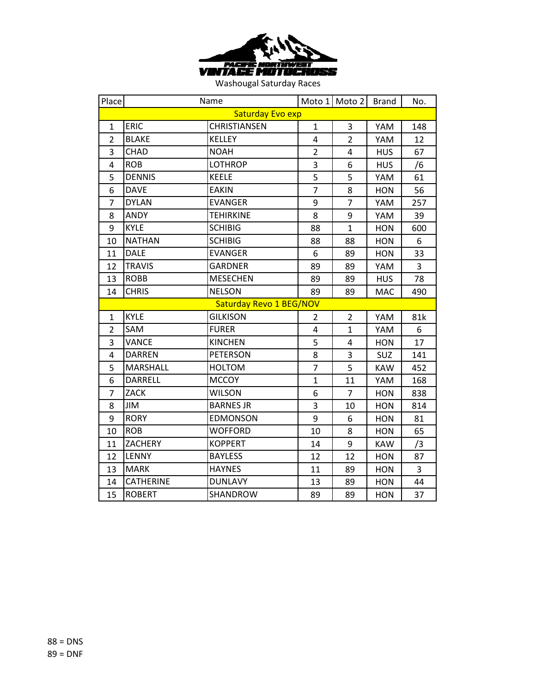

| Place            | Name             |                         | Moto 1         | Moto 2         | <b>Brand</b> | No.            |  |
|------------------|------------------|-------------------------|----------------|----------------|--------------|----------------|--|
| Saturday Evo exp |                  |                         |                |                |              |                |  |
| $\mathbf{1}$     | ERIC             | CHRISTIANSEN            | $\mathbf{1}$   | 3              | YAM          | 148            |  |
| $\overline{2}$   | <b>BLAKE</b>     | <b>KELLEY</b>           | 4              | $\overline{2}$ | YAM          | 12             |  |
| $\overline{3}$   | <b>CHAD</b>      | <b>NOAH</b>             | $\overline{2}$ | 4              | <b>HUS</b>   | 67             |  |
| 4                | <b>ROB</b>       | <b>LOTHROP</b>          | 3              | 6              | <b>HUS</b>   | /6             |  |
| 5                | <b>DENNIS</b>    | <b>KEELE</b>            | 5              | 5              | YAM          | 61             |  |
| 6                | <b>DAVE</b>      | <b>EAKIN</b>            | $\overline{7}$ | 8              | <b>HON</b>   | 56             |  |
| $\overline{7}$   | <b>DYLAN</b>     | <b>EVANGER</b>          | 9              | $\overline{7}$ | YAM          | 257            |  |
| 8                | <b>ANDY</b>      | <b>TEHIRKINE</b>        | 8              | 9              | YAM          | 39             |  |
| 9                | <b>KYLE</b>      | <b>SCHIBIG</b>          | 88             | $\mathbf{1}$   | <b>HON</b>   | 600            |  |
| 10               | <b>NATHAN</b>    | <b>SCHIBIG</b>          | 88             | 88             | <b>HON</b>   | 6              |  |
| 11               | <b>DALE</b>      | <b>EVANGER</b>          | 6              | 89             | <b>HON</b>   | 33             |  |
| 12               | <b>TRAVIS</b>    | <b>GARDNER</b>          | 89             | 89             | YAM          | $\overline{3}$ |  |
| 13               | <b>ROBB</b>      | <b>MESECHEN</b>         | 89             | 89             | <b>HUS</b>   | 78             |  |
| 14               | <b>CHRIS</b>     | <b>NELSON</b>           | 89             | 89             | <b>MAC</b>   | 490            |  |
|                  |                  | Saturday Revo 1 BEG/NOV |                |                |              |                |  |
| $\mathbf{1}$     | <b>KYLE</b>      | <b>GILKISON</b>         | 2              | $\overline{2}$ | YAM          | 81k            |  |
| $\overline{2}$   | SAM              | <b>FURER</b>            | 4              | $\mathbf{1}$   | YAM          | 6              |  |
| 3                | <b>VANCE</b>     | <b>KINCHEN</b>          | 5              | 4              | <b>HON</b>   | 17             |  |
| 4                | <b>DARREN</b>    | <b>PETERSON</b>         | 8              | 3              | <b>SUZ</b>   | 141            |  |
| 5                | <b>MARSHALL</b>  | <b>HOLTOM</b>           | $\overline{7}$ | 5              | <b>KAW</b>   | 452            |  |
| 6                | <b>DARRELL</b>   | <b>MCCOY</b>            | $\mathbf 1$    | 11             | YAM          | 168            |  |
| $\overline{7}$   | <b>ZACK</b>      | <b>WILSON</b>           | 6              | $\overline{7}$ | <b>HON</b>   | 838            |  |
| 8                | JIM              | <b>BARNES JR</b>        | 3              | 10             | <b>HON</b>   | 814            |  |
| 9                | <b>RORY</b>      | <b>EDMONSON</b>         | 9              | 6              | <b>HON</b>   | 81             |  |
| 10               | <b>ROB</b>       | <b>WOFFORD</b>          | 10             | 8              | <b>HON</b>   | 65             |  |
| 11               | <b>ZACHERY</b>   | <b>KOPPERT</b>          | 14             | 9              | <b>KAW</b>   | /3             |  |
| 12               | <b>LENNY</b>     | <b>BAYLESS</b>          | 12             | 12             | <b>HON</b>   | 87             |  |
| 13               | <b>MARK</b>      | <b>HAYNES</b>           | 11             | 89             | <b>HON</b>   | 3              |  |
| 14               | <b>CATHERINE</b> | <b>DUNLAVY</b>          | 13             | 89             | <b>HON</b>   | 44             |  |
| 15               | <b>ROBERT</b>    | SHANDROW                | 89             | 89             | <b>HON</b>   | 37             |  |